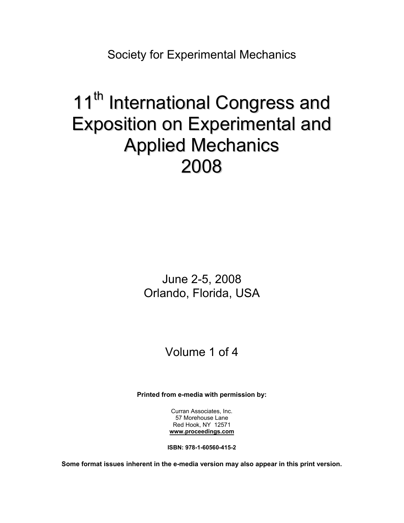Society for Experimental Mechanics

# 11<sup>th</sup> International Congress and Exposition on Experimental and Applied Mechanics 2008

June 2-5, 2008 Orlando, Florida, USA

## Volume 1 of 4

**Printed from e-media with permission by:** 

Curran Associates, Inc. 57 Morehouse Lane Red Hook, NY 12571 **[www.proceedings.com](http://www.proceedings.com/)**

**ISBN: 978-1-60560-415-2** 

**Some format issues inherent in the e-media version may also appear in this print version.**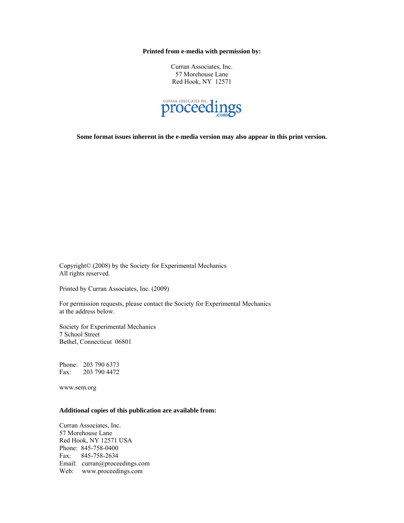**Printed from e-media with permission by:** 

Curran Associates, Inc. 57 Morehouse Lane Red Hook, NY 12571



**Some format issues inherent in the e-media version may also appear in this print version.** 

Copyright© (2008) by the Society for Experimental Mechanics All rights reserved.

Printed by Curran Associates, Inc. (2009)

For permission requests, please contact the Society for Experimental Mechanics at the address below.

Society for Experimental Mechanics 7 School Street Bethel, Connecticut 06801

Phone: 203 790 6373 Fax: 203 790 4472

www.sem.org

#### **Additional copies of this publication are available from:**

Curran Associates, Inc. 57 Morehouse Lane Red Hook, NY 12571 USA Phone: 845-758-0400 Fax: 845-758-2634 Email: curran@proceedings.com Web: www.proceedings.com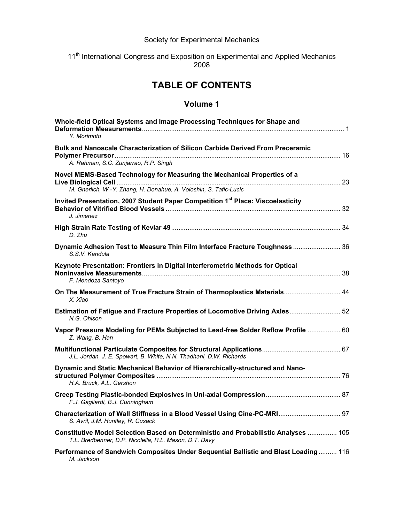### Society for Experimental Mechanics

#### 11<sup>th</sup> International Congress and Exposition on Experimental and Applied Mechanics 2008

## **TABLE OF CONTENTS**

| Whole-field Optical Systems and Image Processing Techniques for Shape and<br>Y. Morimoto                                                      |
|-----------------------------------------------------------------------------------------------------------------------------------------------|
| Bulk and Nanoscale Characterization of Silicon Carbide Derived From Preceramic<br>A. Rahman, S.C. Zunjarrao, R.P. Singh                       |
| Novel MEMS-Based Technology for Measuring the Mechanical Properties of a<br>M. Gnerlich, W.-Y. Zhang, H. Donahue, A. Voloshin, S. Tatic-Lucic |
| Invited Presentation, 2007 Student Paper Competition 1 <sup>st</sup> Place: Viscoelasticity<br>J. Jimenez                                     |
| D. Zhu                                                                                                                                        |
| Dynamic Adhesion Test to Measure Thin Film Interface Fracture Toughness  36<br>S.S.V. Kandula                                                 |
| Keynote Presentation: Frontiers in Digital Interferometric Methods for Optical<br>F. Mendoza Santoyo                                          |
| On The Measurement of True Fracture Strain of Thermoplastics Materials 44<br>X. Xiao                                                          |
| Estimation of Fatigue and Fracture Properties of Locomotive Driving Axles 52<br>N.G. Ohlson                                                   |
| Vapor Pressure Modeling for PEMs Subjected to Lead-free Solder Reflow Profile  60<br>Z. Wang, B. Han                                          |
| J.L. Jordan, J. E. Spowart, B. White, N.N. Thadhani, D.W. Richards                                                                            |
| Dynamic and Static Mechanical Behavior of Hierarchically-structured and Nano-<br>H.A. Bruck. A.L. Gershon                                     |
| F.J. Gagliardi, B.J. Cunningham                                                                                                               |
| Characterization of Wall Stiffness in a Blood Vessel Using Cine-PC-MRI 97<br>S. Avril, J.M. Huntley, R. Cusack                                |
| Constitutive Model Selection Based on Deterministic and Probabilistic Analyses  105<br>T.L. Bredbenner, D.P. Nicolella, R.L. Mason, D.T. Davy |
| Performance of Sandwich Composites Under Sequential Ballistic and Blast Loading 116<br>M. Jackson                                             |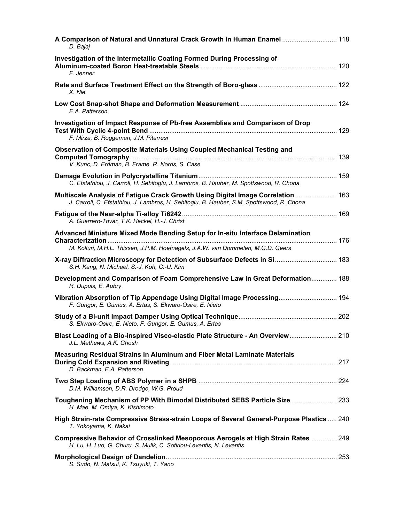| A Comparison of Natural and Unnatural Crack Growth in Human Enamel  118<br>D. Bajaj                                                                                          |  |
|------------------------------------------------------------------------------------------------------------------------------------------------------------------------------|--|
| Investigation of the Intermetallic Coating Formed During Processing of<br>F. Jenner                                                                                          |  |
| X. Nie                                                                                                                                                                       |  |
| E.A. Patterson                                                                                                                                                               |  |
| Investigation of Impact Response of Pb-free Assemblies and Comparison of Drop<br>F. Mirza, B. Roggeman, J.M. Pitarresi                                                       |  |
| Observation of Composite Materials Using Coupled Mechanical Testing and<br>V. Kunc, D. Erdman, B. Frame, R. Norris, S. Case                                                  |  |
| C. Efstathiou, J. Carroll, H. Sehitoglu, J. Lambros, B. Hauber, M. Spottswood, R. Chona                                                                                      |  |
| Multiscale Analysis of Fatigue Crack Growth Using Digital Image Correlation 163<br>J. Carroll, C. Efstathiou, J. Lambros, H. Sehitoglu, B. Hauber, S.M. Spottswood, R. Chona |  |
| A. Guerrero-Tovar, T.K. Heckel, H.-J. Christ                                                                                                                                 |  |
| Advanced Miniature Mixed Mode Bending Setup for In-situ Interface Delamination<br>M. Kolluri, M.H.L. Thissen, J.P.M. Hoefnagels, J.A.W. van Dommelen, M.G.D. Geers           |  |
| S.H. Kang, N. Michael, S.-J. Koh, C.-U. Kim                                                                                                                                  |  |
| Development and Comparison of Foam Comprehensive Law in Great Deformation 188<br>R. Dupuis, E. Aubry                                                                         |  |
| Vibration Absorption of Tip Appendage Using Digital Image Processing 194<br>F. Gungor, E. Gumus, A. Ertas, S. Ekwaro-Osire, E. Nieto                                         |  |
| S. Ekwaro-Osire, E. Nieto, F. Gungor, E. Gumus, A. Ertas                                                                                                                     |  |
| Blast Loading of a Bio-inspired Visco-elastic Plate Structure - An Overview 210<br>J.L. Mathews, A.K. Ghosh                                                                  |  |
| <b>Measuring Residual Strains in Aluminum and Fiber Metal Laminate Materials</b><br>D. Backman, E.A. Patterson                                                               |  |
| D.M. Williamson, D.R. Drodge, W.G. Proud                                                                                                                                     |  |
| Toughening Mechanism of PP With Bimodal Distributed SEBS Particle Size  233<br>H. Mae, M. Omiya, K. Kishimoto                                                                |  |
| High Strain-rate Compressive Stress-strain Loops of Several General-Purpose Plastics  240<br>T. Yokoyama, K. Nakai                                                           |  |
| Compressive Behavior of Crosslinked Mesoporous Aerogels at High Strain Rates  249<br>H. Lu, H. Luo, G. Churu, S. Mulik, C. Sotiriou-Leventis, N. Leventis                    |  |
| S. Sudo, N. Matsui, K. Tsuyuki, T. Yano                                                                                                                                      |  |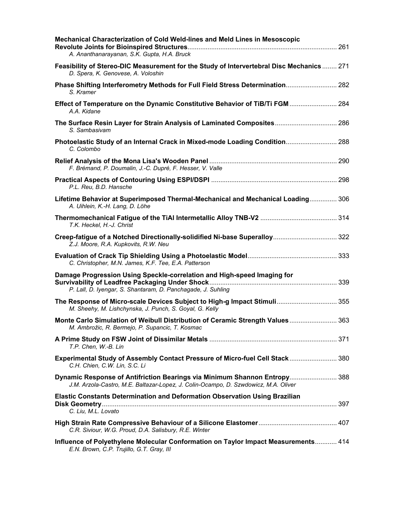| Mechanical Characterization of Cold Weld-lines and Meld Lines in Mesoscopic<br>A. Ananthanarayanan, S.K. Gupta, H.A. Bruck                                       |  |
|------------------------------------------------------------------------------------------------------------------------------------------------------------------|--|
| Feasibility of Stereo-DIC Measurement for the Study of Intervertebral Disc Mechanics 271<br>D. Spera, K. Genovese, A. Voloshin                                   |  |
| Phase Shifting Interferometry Methods for Full Field Stress Determination 282<br>S. Kramer                                                                       |  |
| Effect of Temperature on the Dynamic Constitutive Behavior of TiB/Ti FGM  284<br>A.A. Kidane                                                                     |  |
| The Surface Resin Layer for Strain Analysis of Laminated Composites 286<br>S. Sambasivam                                                                         |  |
| Photoelastic Study of an Internal Crack in Mixed-mode Loading Condition 288<br>C. Colombo                                                                        |  |
| F. Brémand, P. Doumalin, J.-C. Dupré, F. Hesser, V. Valle                                                                                                        |  |
| P.L. Reu, B.D. Hansche                                                                                                                                           |  |
| Lifetime Behavior at Superimposed Thermal-Mechanical and Mechanical Loading 306<br>A. Uihlein, K.-H. Lang, D. Löhe                                               |  |
| T.K. Heckel, H.-J. Christ                                                                                                                                        |  |
| Creep-fatigue of a Notched Directionally-solidified Ni-base Superalloy 322<br>Z.J. Moore, R.A. Kupkovits, R.W. Neu                                               |  |
| C. Christopher, M.N. James, K.F. Tee, E.A. Patterson                                                                                                             |  |
| Damage Progression Using Speckle-correlation and High-speed Imaging for<br>P. Lall, D. Iyengar, S. Shantaram, D. Panchagade, J. Suhling                          |  |
| The Response of Micro-scale Devices Subject to High-g Impact Stimuli 355<br>M. Sheehy, M. Lishchynska, J. Punch, S. Goyal, G. Kelly                              |  |
| Monte Carlo Simulation of Weibull Distribution of Ceramic Strength Values  363<br>M. Ambrožic, R. Bermejo, P. Supancic, T. Kosmac                                |  |
| T.P. Chen, W.-B. Lin                                                                                                                                             |  |
| Experimental Study of Assembly Contact Pressure of Micro-fuel Cell Stack 380<br>C.H. Chien, C.W. Lin, S.C. Li                                                    |  |
| Dynamic Response of Antifriction Bearings via Minimum Shannon Entropy 388<br>J.M. Arzola-Castro, M.E. Baltazar-Lopez, J. Colin-Ocampo, D. Szwdowicz, M.A. Oliver |  |
| Elastic Constants Determination and Deformation Observation Using Brazilian                                                                                      |  |
| C. Liu, M.L. Lovato                                                                                                                                              |  |
| C.R. Siviour, W.G. Proud, D.A. Salisbury, R.E. Winter                                                                                                            |  |
| Influence of Polyethylene Molecular Conformation on Taylor Impact Measurements 414<br>E.N. Brown, C.P. Trujillo, G.T. Gray, III                                  |  |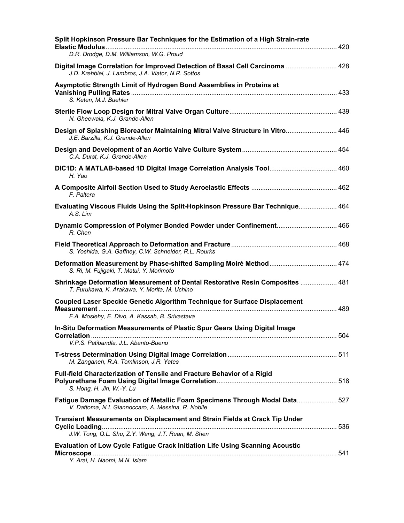| Split Hopkinson Pressure Bar Techniques for the Estimation of a High Strain-rate<br>D.R. Drodge, D.M. Williamson, W.G. Proud         |  |
|--------------------------------------------------------------------------------------------------------------------------------------|--|
|                                                                                                                                      |  |
| Digital Image Correlation for Improved Detection of Basal Cell Carcinoma  428<br>J.D. Krehbiel, J. Lambros, J.A. Viator, N.R. Sottos |  |
| Asymptotic Strength Limit of Hydrogen Bond Assemblies in Proteins at<br>S. Keten, M.J. Buehler                                       |  |
| N. Gheewala, K.J. Grande-Allen                                                                                                       |  |
| Design of Splashing Bioreactor Maintaining Mitral Valve Structure in Vitro 446<br>J.E. Barzilla, K.J. Grande-Allen                   |  |
| C.A. Durst, K.J. Grande-Allen                                                                                                        |  |
| DIC1D: A MATLAB-based 1D Digital Image Correlation Analysis Tool 460<br>H. Yao                                                       |  |
| F. Paltera                                                                                                                           |  |
| Evaluating Viscous Fluids Using the Split-Hopkinson Pressure Bar Technique 464<br>A.S. Lim                                           |  |
| R. Chen                                                                                                                              |  |
| S. Yoshida, G.A. Gaffney, C.W. Schneider, R.L. Rourks                                                                                |  |
| Deformation Measurement by Phase-shifted Sampling Moiré Method 474<br>S. Ri, M. Fujigaki, T. Matui, Y. Morimoto                      |  |
| Shrinkage Deformation Measurement of Dental Restorative Resin Composites  481<br>T. Furukawa, K. Arakawa, Y. Morita, M. Uchino       |  |
| <b>Coupled Laser Speckle Genetic Algorithm Technique for Surface Displacement</b><br>Measurement                                     |  |
| F.A. Moslehy, E. Divo, A. Kassab, B. Srivastava                                                                                      |  |
| In-Situ Deformation Measurements of Plastic Spur Gears Using Digital Image                                                           |  |
| V.P.S. Patibandla, J.L. Abanto-Bueno                                                                                                 |  |
| M. Zanganeh, R.A. Tomlinson, J.R. Yates                                                                                              |  |
| Full-field Characterization of Tensile and Fracture Behavior of a Rigid<br>S. Hong, H. Jin, W.-Y. Lu                                 |  |
| Fatigue Damage Evaluation of Metallic Foam Specimens Through Modal Data 527<br>V. Dattoma, N.I. Giannoccaro, A. Messina, R. Nobile   |  |
| Transient Measurements on Displacement and Strain Fields at Crack Tip Under                                                          |  |
| J.W. Tong, Q.L. Shu, Z.Y. Wang, J.T. Ruan, M. Shen                                                                                   |  |
| <b>Evaluation of Low Cycle Fatigue Crack Initiation Life Using Scanning Acoustic</b><br>Y. Arai, H. Naomi, M.N. Islam                |  |
|                                                                                                                                      |  |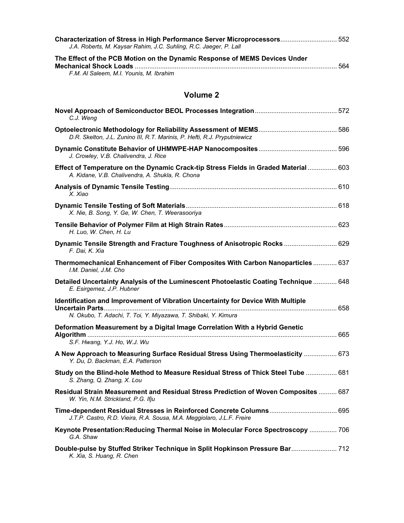| Characterization of Stress in High Performance Server Microprocessors 552<br>J.A. Roberts, M. Kaysar Rahim, J.C. Suhling, R.C. Jaeger, P. Lall |     |
|------------------------------------------------------------------------------------------------------------------------------------------------|-----|
| The Effect of the PCB Motion on the Dynamic Response of MEMS Devices Under                                                                     |     |
|                                                                                                                                                | 564 |
| F.M. Al Saleem, M.I. Younis, M. Ibrahim                                                                                                        |     |

| C.J. Weng                                                                                                                                           |  |
|-----------------------------------------------------------------------------------------------------------------------------------------------------|--|
| D.R. Skelton, J.L. Zunino III, R.T. Marinis, P. Hefti, R.J. Pryputniewicz                                                                           |  |
| J. Crowley, V.B. Chalivendra, J. Rice                                                                                                               |  |
| Effect of Temperature on the Dynamic Crack-tip Stress Fields in Graded Material  603<br>A. Kidane, V.B. Chalivendra, A. Shukla, R. Chona            |  |
| X. Xiao                                                                                                                                             |  |
| X. Nie, B. Song, Y. Ge, W. Chen, T. Weerasooriya                                                                                                    |  |
| H. Luo, W. Chen, H. Lu                                                                                                                              |  |
| Dynamic Tensile Strength and Fracture Toughness of Anisotropic Rocks  629<br>F. Dai, K. Xia                                                         |  |
| Thermomechanical Enhancement of Fiber Composites With Carbon Nanoparticles  637<br>I.M. Daniel. J.M. Cho                                            |  |
| Detailed Uncertainty Analysis of the Luminescent Photoelastic Coating Technique  648<br>E. Esirgemez, J.P. Hubner                                   |  |
| Identification and Improvement of Vibration Uncertainty for Device With Multiple<br>N. Okubo, T. Adachi, T. Toi, Y. Miyazawa, T. Shibaki, Y. Kimura |  |
| Deformation Measurement by a Digital Image Correlation With a Hybrid Genetic                                                                        |  |
| S.F. Hwang, Y.J. Ho, W.J. Wu                                                                                                                        |  |
| A New Approach to Measuring Surface Residual Stress Using Thermoelasticity  673<br>Y. Du, D. Backman, E.A. Patterson                                |  |
| Study on the Blind-hole Method to Measure Residual Stress of Thick Steel Tube  681<br>S. Zhang, Q. Zhang, X. Lou                                    |  |
| Residual Strain Measurement and Residual Stress Prediction of Woven Composites  687<br>W. Yin, N.M. Strickland, P.G. Ifju                           |  |
| J.T.P. Castro, R.D. Vieira, R.A. Sousa, M.A. Meggiolaro, J.L.F. Freire                                                                              |  |
| Keynote Presentation: Reducing Thermal Noise in Molecular Force Spectroscopy  706<br>G.A. Shaw                                                      |  |
| Double-pulse by Stuffed Striker Technique in Split Hopkinson Pressure Bar 712<br>K. Xia, S. Huang, R. Chen                                          |  |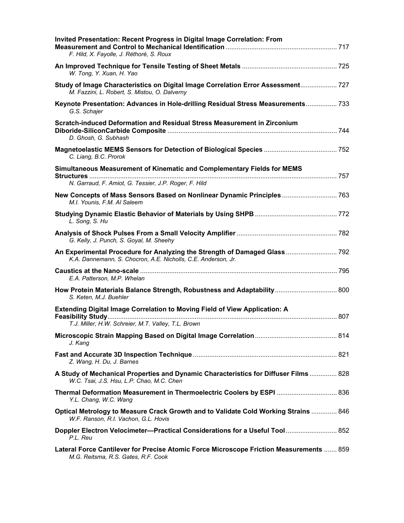| <b>Invited Presentation: Recent Progress in Digital Image Correlation: From</b><br>F. Hild, X. Fayolle, J. Réthoré, S. Roux                |  |
|--------------------------------------------------------------------------------------------------------------------------------------------|--|
| W. Tong, Y. Xuan, H. Yao                                                                                                                   |  |
| Study of Image Characteristics on Digital Image Correlation Error Assessment 727<br>M. Fazzini, L. Robert, S. Mistou, O. Dalverny          |  |
| Keynote Presentation: Advances in Hole-drilling Residual Stress Measurements 733<br>G.S. Schajer                                           |  |
| Scratch-induced Deformation and Residual Stress Measurement in Zirconium<br>D. Ghosh, G. Subhash                                           |  |
| C. Liang, B.C. Prorok                                                                                                                      |  |
| Simultaneous Measurement of Kinematic and Complementary Fields for MEMS                                                                    |  |
| N. Garraud, F. Amiot, G. Tessier, J.P. Roger, F. Hild                                                                                      |  |
| New Concepts of Mass Sensors Based on Nonlinear Dynamic Principles  763<br>M.I. Younis, F.M. Al Saleem                                     |  |
| L. Song, S. Hu                                                                                                                             |  |
| G. Kelly, J. Punch, S. Goyal, M. Sheehy                                                                                                    |  |
| An Experimental Procedure for Analyzing the Strength of Damaged Glass 792<br>K.A. Dannemann, S. Chocron, A.E. Nicholls, C.E. Anderson, Jr. |  |
| E.A. Patterson, M.P. Whelan                                                                                                                |  |
| How Protein Materials Balance Strength, Robustness and Adaptability 800<br>S. Keten, M.J. Buehler                                          |  |
| Extending Digital Image Correlation to Moving Field of View Application: A                                                                 |  |
| T.J. Miller, H.W. Schreier, M.T. Valley, T.L. Brown                                                                                        |  |
| J. Kang                                                                                                                                    |  |
| Z. Wang, H. Du, J. Barnes                                                                                                                  |  |
| A Study of Mechanical Properties and Dynamic Characteristics for Diffuser Films  828<br>W.C. Tsai, J.S. Hsu, L.P. Chao, M.C. Chen          |  |
| Thermal Deformation Measurement in Thermoelectric Coolers by ESPI  836<br>Y.L. Chang, W.C. Wang                                            |  |
| Optical Metrology to Measure Crack Growth and to Validate Cold Working Strains  846<br>W.F. Ranson, R.I. Vachon, G.L. Hovis                |  |
| Doppler Electron Velocimeter-Practical Considerations for a Useful Tool 852<br>P.L. Reu                                                    |  |
| Lateral Force Cantilever for Precise Atomic Force Microscope Friction Measurements  859<br>M.G. Reitsma, R.S. Gates, R.F. Cook             |  |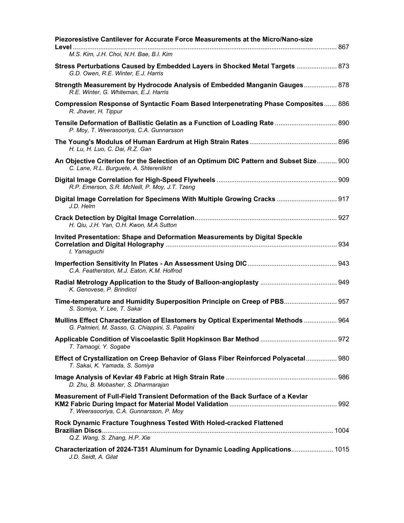| Piezoresistive Cantilever for Accurate Force Measurements at the Micro/Nano-size                                                       |  |
|----------------------------------------------------------------------------------------------------------------------------------------|--|
| M.S. Kim, J.H. Choi, N.H. Bae, B.I. Kim                                                                                                |  |
| G.D. Owen, R.E. Winter, E.J. Harris                                                                                                    |  |
| Strength Measurement by Hydrocode Analysis of Embedded Manganin Gauges 878<br>R.E. Winter, G. Whiteman, E.J. Harris                    |  |
| Compression Response of Syntactic Foam Based Interpenetrating Phase Composites 886<br>R. Jhaver, H. Tippur                             |  |
| Tensile Deformation of Ballistic Gelatin as a Function of Loading Rate  890<br>P. Moy, T. Weerasooriya, C.A. Gunnarsson                |  |
| H. Lu, H. Luo, C. Dai, R.Z. Gan                                                                                                        |  |
| An Objective Criterion for the Selection of an Optimum DIC Pattern and Subset Size 900<br>C. Lane, R.L. Burguete, A. Shterenlikht      |  |
| R.P. Emerson, S.R. McNeill, P. Moy, J.T. Tzeng                                                                                         |  |
| Digital Image Correlation for Specimens With Multiple Growing Cracks  917<br>J.D. Helm                                                 |  |
| H. Qiu, J.H. Yan, O.H. Kwon, M.A Sutton                                                                                                |  |
| Invited Presentation: Shape and Deformation Measurements by Digital Speckle<br>I. Yamaguchi                                            |  |
| C.A. Featherston, M.J. Eaton, K.M. Holfrod                                                                                             |  |
| K. Genovese, P. Brindicci                                                                                                              |  |
| Time-temperature and Humidity Superposition Principle on Creep of PBS 957<br>S. Somiya, Y. Lee, T. Sakai                               |  |
| Mullins Effect Characterization of Elastomers by Optical Experimental Methods  964<br>G. Palmieri, M. Sasso, G. Chiappini, S. Papalini |  |
| T. Tamaogi, Y. Sogabe                                                                                                                  |  |
| Effect of Crystallization on Creep Behavior of Glass Fiber Reinforced Polyacetal 980<br>T. Sakai, K. Yamada, S. Somiya                 |  |
| D. Zhu, B. Mobasher, S. Dharmarajan                                                                                                    |  |
| Measurement of Full-Field Transient Deformation of the Back Surface of a Kevlar<br>T. Weerasooriya, C.A. Gunnarsson, P. Moy            |  |
| Rock Dynamic Fracture Toughness Tested With Holed-cracked Flattened<br>Q.Z. Wang, S. Zhang, H.P. Xie                                   |  |
| Characterization of 2024-T351 Aluminum for Dynamic Loading Applications 1015<br>J.D. Seidt, A. Gilat                                   |  |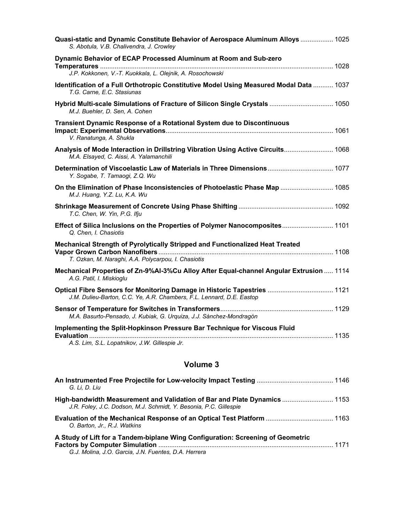| Quasi-static and Dynamic Constitute Behavior of Aerospace Aluminum Alloys  1025<br>S. Abotula, V.B. Chalivendra, J. Crowley                       |
|---------------------------------------------------------------------------------------------------------------------------------------------------|
| Dynamic Behavior of ECAP Processed Aluminum at Room and Sub-zero<br>.<br>J.P. Kokkonen, V.-T. Kuokkala, L. Olejnik, A. Rosochowski                |
| Identification of a Full Orthotropic Constitutive Model Using Measured Modal Data  1037<br>T.G. Carne, E.C. Stasiunas                             |
| Hybrid Multi-scale Simulations of Fracture of Silicon Single Crystals  1050<br>M.J. Buehler, D. Sen, A. Cohen                                     |
| <b>Transient Dynamic Response of a Rotational System due to Discontinuous</b><br>V. Ranatunga, A. Shukla                                          |
| Analysis of Mode Interaction in Drillstring Vibration Using Active Circuits 1068<br>M.A. Elsayed, C. Aissi, A. Yalamanchili                       |
| Y. Sogabe, T. Tamaogi, Z.Q. Wu                                                                                                                    |
| On the Elimination of Phase Inconsistencies of Photoelastic Phase Map  1085<br>M.J. Huang, Y.Z. Lu, K.A. Wu                                       |
| T.C. Chen, W. Yin, P.G. Ifju                                                                                                                      |
| Effect of Silica Inclusions on the Properties of Polymer Nanocomposites 1101<br>Q. Chen, I. Chasiotis                                             |
| Mechanical Strength of Pyrolytically Stripped and Functionalized Heat Treated<br>T. Ozkan, M. Naraghi, A.A. Polycarpou, I. Chasiotis              |
| Mechanical Properties of Zn-9%Al-3%Cu Alloy After Equal-channel Angular Extrusion  1114<br>A.G. Patil, I. Miskioglu                               |
| Optical Fibre Sensors for Monitoring Damage in Historic Tapestries  1121<br>J.M. Dulieu-Barton, C.C. Ye, A.R. Chambers, F.L. Lennard, D.E. Eastop |
| M.A. Basurto-Pensado, J. Kubiak, G. Urquiza, J.J. Sánchez-Mondragón                                                                               |
| Implementing the Split-Hopkinson Pressure Bar Technique for Viscous Fluid<br>A.S. Lim, S.L. Lopatnikov, J.W. Gillespie Jr.                        |

| G. Li. D. Liu                                                                                                                                  |  |
|------------------------------------------------------------------------------------------------------------------------------------------------|--|
| High-bandwidth Measurement and Validation of Bar and Plate Dynamics  1153<br>J.R. Foley, J.C. Dodson, M.J. Schmidt, Y. Besonia, P.C. Gillespie |  |
| Evaluation of the Mechanical Response of an Optical Test Platform  1163<br>O. Barton, Jr., R.J. Watkins                                        |  |
| A Study of Lift for a Tandem-biplane Wing Configuration: Screening of Geometric<br>G.J. Molina, J.O. Garcia, J.N. Fuentes, D.A. Herrera        |  |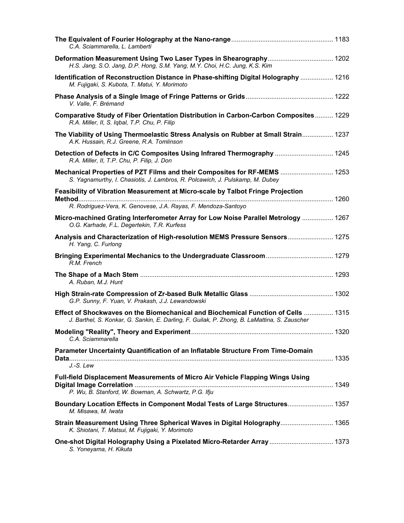| C.A. Sciammarella, L. Lamberti                                                                                                                                                    |  |
|-----------------------------------------------------------------------------------------------------------------------------------------------------------------------------------|--|
| Deformation Measurement Using Two Laser Types in Shearography 1202<br>H.S. Jang, S.O. Jang, D.P. Hong, S.M. Yang, M.Y. Choi, H.C. Jung, K.S. Kim                                  |  |
| Identification of Reconstruction Distance in Phase-shifting Digital Holography  1216<br>M. Fujigaki, S. Kubota, T. Matui, Y. Morimoto                                             |  |
| V. Valle, F. Brémand                                                                                                                                                              |  |
| Comparative Study of Fiber Orientation Distribution in Carbon-Carbon Composites 1229<br>R.A. Miller, II, S. Iqbal, T.P. Chu, P. Filip                                             |  |
| The Viability of Using Thermoelastic Stress Analysis on Rubber at Small Strain 1237<br>A.K. Hussain, R.J. Greene, R.A. Tomlinson                                                  |  |
| Detection of Defects in C/C Composites Using Infrared Thermography  1245<br>R.A. Miller, II, T.P. Chu, P. Filip, J. Don                                                           |  |
| Mechanical Properties of PZT Films and their Composites for RF-MEMS  1253<br>S. Yagnamurthy, I. Chasiotis, J. Lambros, R. Polcawich, J. Pulskamp, M. Dubey                        |  |
| Feasibility of Vibration Measurement at Micro-scale by Talbot Fringe Projection                                                                                                   |  |
| R. Rodriguez-Vera, K. Genovese, J.A. Rayas, F. Mendoza-Santoyo                                                                                                                    |  |
| Micro-machined Grating Interferometer Array for Low Noise Parallel Metrology  1267<br>O.G. Karhade, F.L. Degertekin, T.R. Kurfess                                                 |  |
| Analysis and Characterization of High-resolution MEMS Pressure Sensors 1275<br>H. Yang, C. Furlong                                                                                |  |
| R.M. French                                                                                                                                                                       |  |
| A. Ruban, M.J. Hunt                                                                                                                                                               |  |
| G.P. Sunny, F. Yuan, V. Prakash, J.J. Lewandowski                                                                                                                                 |  |
| Effect of Shockwaves on the Biomechanical and Biochemical Function of Cells  1315<br>J. Barthel, S. Konkar, G. Sankin, E. Darling, F. Guilak, P. Zhong, B. LaMattina, S. Zauscher |  |
| C.A. Sciammarella                                                                                                                                                                 |  |
| Parameter Uncertainty Quantification of an Inflatable Structure From Time-Domain                                                                                                  |  |
| J.-S. Lew                                                                                                                                                                         |  |
| Full-field Displacement Measurements of Micro Air Vehicle Flapping Wings Using                                                                                                    |  |
| P. Wu, B. Stanford, W. Bowman, A. Schwartz, P.G. Ifju                                                                                                                             |  |
| Boundary Location Effects in Component Modal Tests of Large Structures 1357<br>M. Misawa, M. Iwata                                                                                |  |
| Strain Measurement Using Three Spherical Waves in Digital Holography 1365<br>K. Shiotani, T. Matsui, M. Fujigaki, Y. Morimoto                                                     |  |
| One-shot Digital Holography Using a Pixelated Micro-Retarder Array  1373<br>S. Yoneyama, H. Kikuta                                                                                |  |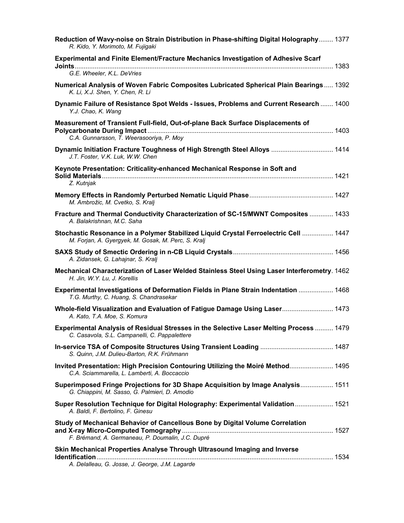| Reduction of Wavy-noise on Strain Distribution in Phase-shifting Digital Holography 1377<br>R. Kido, Y. Morimoto, M. Fujigaki               |
|---------------------------------------------------------------------------------------------------------------------------------------------|
| Experimental and Finite Element/Fracture Mechanics Investigation of Adhesive Scarf                                                          |
| G.E. Wheeler, K.L. DeVries                                                                                                                  |
| <b>Numerical Analysis of Woven Fabric Composites Lubricated Spherical Plain Bearings 1392</b><br>K. Li, X.J. Shen, Y. Chen, R. Li           |
| Dynamic Failure of Resistance Spot Welds - Issues, Problems and Current Research  1400<br>Y.J. Chao, K. Wang                                |
| Measurement of Transient Full-field, Out-of-plane Back Surface Displacements of<br>C.A. Gunnarsson, T. Weerasooriya, P. Moy                 |
| Dynamic Initiation Fracture Toughness of High Strength Steel Alloys  1414<br>J.T. Foster, V.K. Luk, W.W. Chen                               |
| Keynote Presentation: Criticality-enhanced Mechanical Response in Soft and<br>Z. Kutnjak                                                    |
| M. Ambrožic, M. Cvetko, S. Kralj                                                                                                            |
| Fracture and Thermal Conductivity Characterization of SC-15/MWNT Composites  1433<br>A. Balakrishnan, M.C. Saha                             |
| Stochastic Resonance in a Polymer Stabilized Liquid Crystal Ferroelectric Cell  1447<br>M. Forjan, A. Gyergyek, M. Gosak, M. Perc, S. Kralj |
| A. Zidansek, G. Lahajnar, S. Kralj                                                                                                          |
| Mechanical Characterization of Laser Welded Stainless Steel Using Laser Interferometry. 1462<br>H. Jin, W.Y. Lu, J. Korellis                |
| Experimental Investigations of Deformation Fields in Plane Strain Indentation  1468<br>T.G. Murthy, C. Huang, S. Chandrasekar               |
| Whole-field Visualization and Evaluation of Fatigue Damage Using Laser 1473<br>A. Kato, T.A. Moe, S. Komura                                 |
| Experimental Analysis of Residual Stresses in the Selective Laser Melting Process  1479<br>C. Casavola, S.L. Campanelli, C. Pappalettere    |
| S. Quinn, J.M. Dulieu-Barton, R.K. Frühmann                                                                                                 |
| Invited Presentation: High Precision Contouring Utilizing the Moiré Method 1495<br>C.A. Sciammarella, L. Lamberti, A. Boccaccio             |
| Superimposed Fringe Projections for 3D Shape Acquisition by Image Analysis 1511<br>G. Chiappini, M. Sasso, G. Palmieri, D. Amodio           |
| Super Resolution Technique for Digital Holography: Experimental Validation 1521<br>A. Baldi, F. Bertolino, F. Ginesu                        |
| Study of Mechanical Behavior of Cancellous Bone by Digital Volume Correlation<br>F. Brémand, A. Germaneau, P. Doumalin, J.C. Dupré          |
| Skin Mechanical Properties Analyse Through Ultrasound Imaging and Inverse<br>A. Delalleau, G. Josse, J. George, J.M. Lagarde                |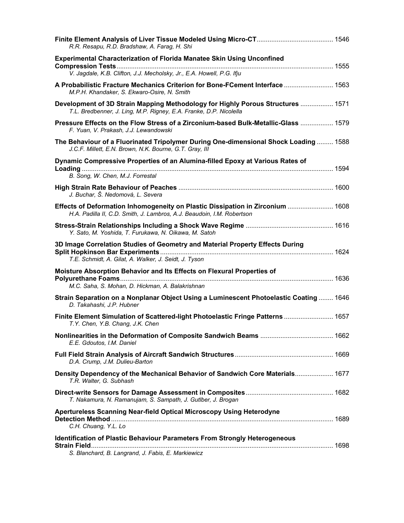| R.R. Resapu, R.D. Bradshaw, A. Farag, H. Shi                                                                                                             |  |
|----------------------------------------------------------------------------------------------------------------------------------------------------------|--|
| <b>Experimental Characterization of Florida Manatee Skin Using Unconfined</b><br>V. Jagdale, K.B. Clifton, J.J. Mecholsky, Jr., E.A. Howell, P.G. Ifju   |  |
| A Probabilistic Fracture Mechanics Criterion for Bone-FCement Interface  1563<br>M.P.H. Khandaker, S. Ekwaro-Osire, N. Smith                             |  |
| Development of 3D Strain Mapping Methodology for Highly Porous Structures  1571<br>T.L. Bredbenner, J. Ling, M.P. Rigney, E.A. Franke, D.P. Nicolella    |  |
| Pressure Effects on the Flow Stress of a Zirconium-based Bulk-Metallic-Glass  1579<br>F. Yuan, V. Prakash, J.J. Lewandowski                              |  |
| The Behaviour of a Fluorinated Tripolymer During One-dimensional Shock Loading  1588<br>J.C.F. Millett, E.N. Brown, N.K. Bourne, G.T. Gray, III          |  |
| Dynamic Compressive Properties of an Alumina-filled Epoxy at Various Rates of<br>B. Song, W. Chen, M.J. Forrestal                                        |  |
| J. Buchar, Š. Nedomová, L. Severa                                                                                                                        |  |
| Effects of Deformation Inhomogeneity on Plastic Dissipation in Zirconium  1608<br>H.A. Padilla II, C.D. Smith, J. Lambros, A.J. Beaudoin, I.M. Robertson |  |
| Y. Sato, M. Yoshida, T. Furukawa, N. Oikawa, M. Satoh                                                                                                    |  |
| 3D Image Correlation Studies of Geometry and Material Property Effects During<br>T.E. Schmidt, A. Gilat, A. Walker, J. Seidt, J. Tyson                   |  |
| Moisture Absorption Behavior and Its Effects on Flexural Properties of<br>M.C. Saha, S. Mohan, D. Hickman, A. Balakrishnan                               |  |
| Strain Separation on a Nonplanar Object Using a Luminescent Photoelastic Coating  1646<br>D. Takahashi, J.P. Hubner                                      |  |
| Finite Element Simulation of Scattered-light Photoelastic Fringe Patterns  1657<br>T.Y. Chen, Y.B. Chang, J.K. Chen                                      |  |
| E.E. Gdoutos, I.M. Daniel                                                                                                                                |  |
| D.A. Crump, J.M. Dulieu-Barton                                                                                                                           |  |
| Density Dependency of the Mechanical Behavior of Sandwich Core Materials 1677<br>T.R. Walter, G. Subhash                                                 |  |
| T. Nakamura, N. Ramanujam, S. Sampath, J. Gutlber, J. Brogan                                                                                             |  |
| Apertureless Scanning Near-field Optical Microscopy Using Heterodyne<br>C.H. Chuang, Y.L. Lo                                                             |  |
| Identification of Plastic Behaviour Parameters From Strongly Heterogeneous<br>S. Blanchard, B. Langrand, J. Fabis, E. Markiewicz                         |  |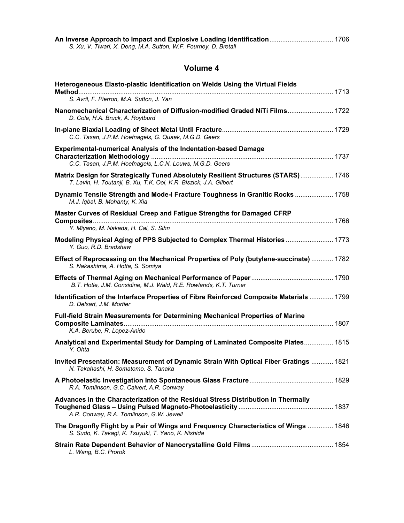| An Inverse Approach to Impact and Explosive Loading Identification 1706 |  |
|-------------------------------------------------------------------------|--|
| S. Xu, V. Tiwari, X. Deng, M.A. Sutton, W.F. Fourney, D. Bretall        |  |

| Heterogeneous Elasto-plastic Identification on Welds Using the Virtual Fields                                                                            |  |
|----------------------------------------------------------------------------------------------------------------------------------------------------------|--|
| S. Avril, F. Pierron, M.A. Sutton, J. Yan                                                                                                                |  |
| Nanomechanical Characterization of Diffusion-modified Graded NiTi Films 1722<br>D. Cole, H.A. Bruck, A. Roytburd                                         |  |
| C.C. Tasan, J.P.M. Hoefnagels, G. Quaak, M.G.D. Geers                                                                                                    |  |
| <b>Experimental-numerical Analysis of the Indentation-based Damage</b><br>C.C. Tasan, J.P.M. Hoefnagels, L.C.N. Louws, M.G.D. Geers                      |  |
| Matrix Design for Strategically Tuned Absolutely Resilient Structures (STARS) 1746<br>T. Lavin, H. Toutanji, B. Xu, T.K. Ooi, K.R. Biszick, J.A. Gilbert |  |
| Dynamic Tensile Strength and Mode-I Fracture Toughness in Granitic Rocks  1758<br>M.J. Iqbal, B. Mohanty, K. Xia                                         |  |
| Master Curves of Residual Creep and Fatigue Strengths for Damaged CFRP                                                                                   |  |
| Y. Miyano, M. Nakada, H. Cai, S. Sihn                                                                                                                    |  |
| Modeling Physical Aging of PPS Subjected to Complex Thermal Histories  1773<br>Y. Guo, R.D. Bradshaw                                                     |  |
| Effect of Reprocessing on the Mechanical Properties of Poly (butylene-succinate)  1782<br>S. Nakashima, A. Hotta, S. Somiya                              |  |
| B.T. Hotle, J.M. Considine, M.J. Wald, R.E. Rowlands, K.T. Turner                                                                                        |  |
| Identification of the Interface Properties of Fibre Reinforced Composite Materials  1799<br>D. Delsart, J.M. Mortier                                     |  |
| Full-field Strain Measurements for Determining Mechanical Properties of Marine<br>K.A. Berube, R. Lopez-Anido                                            |  |
| Analytical and Experimental Study for Damping of Laminated Composite Plates 1815<br>Y. Ohta                                                              |  |
| Invited Presentation: Measurement of Dynamic Strain With Optical Fiber Gratings  1821<br>N. Takahashi, H. Somatomo, S. Tanaka                            |  |
| R.A. Tomlinson, G.C. Calvert, A.R. Conway                                                                                                                |  |
| Advances in the Characterization of the Residual Stress Distribution in Thermally<br>A.R. Conway, R.A. Tomlinson, G.W. Jewell                            |  |
| The Dragonfly Flight by a Pair of Wings and Frequency Characteristics of Wings  1846<br>S. Sudo, K. Takagi, K. Tsuyuki, T. Yano, K. Nishida              |  |
| L. Wang, B.C. Prorok                                                                                                                                     |  |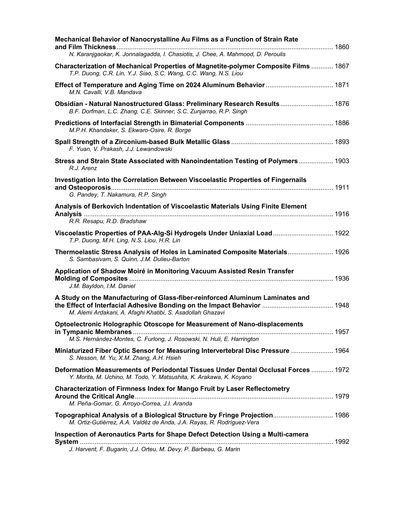| Mechanical Behavior of Nanocrystalline Au Films as a Function of Strain Rate                                                                              |  |
|-----------------------------------------------------------------------------------------------------------------------------------------------------------|--|
| N. Karanjgaokar, K. Jonnalagadda, I. Chasiotis, J. Chee, A. Mahmood, D. Peroulis                                                                          |  |
| Characterization of Mechanical Properties of Magnetite-polymer Composite Films  1867<br>T.P. Duong, C.R. Lin, Y.J. Siao, S.C. Wang, C.C. Wang, N.S. Liou  |  |
| M.N. Cavalli, V.B. Mandava                                                                                                                                |  |
| Obsidian - Natural Nanostructured Glass: Preliminary Research Results 1876<br>B.F. Dorfman, L.C. Zhang, C.E. Skinner, S.C. Zunjarrao, R.P. Singh          |  |
| M.P.H. Khandaker, S. Ekwaro-Osire, R. Borge                                                                                                               |  |
| F. Yuan, V. Prakash, J.J. Lewandowski                                                                                                                     |  |
| Stress and Strain State Associated with Nanoindentation Testing of Polymers 1903<br>R.J. Arenz                                                            |  |
| Investigation Into the Correlation Between Viscoelastic Properties of Fingernails<br>G. Pandey, T. Nakamura, R.P. Singh                                   |  |
| Analysis of Berkovich Indentation of Viscoelastic Materials Using Finite Element<br>R.R. Resapu, R.D. Bradshaw                                            |  |
| Viscoelastic Properties of PAA-Alg-Si Hydrogels Under Uniaxial Load  1922<br>T.P. Duong, M.H. Ling, N.S. Liou, H.R. Lin                                   |  |
| Thermoelastic Stress Analysis of Holes in Laminated Composite Materials 1926<br>S. Sambasivam, S. Quinn, J.M. Dulieu-Barton                               |  |
| Application of Shadow Moiré in Monitoring Vacuum Assisted Resin Transfer<br>J.M. Bayldon, I.M. Daniel                                                     |  |
| A Study on the Manufacturing of Glass-fiber-reinforced Aluminum Laminates and<br>M. Alemi Ardakani, A. Afaghi Khatibi, S. Asadollah Ghazavi               |  |
| Optoelectronic Holographic Otoscope for Measurement of Nano-displacements<br>M.S. Hernández-Montes, C. Furlong, J. Rosowski, N. Huli, E. Harrington       |  |
| Miniaturized Fiber Optic Sensor for Measuring Intervertebral Disc Pressure  1964<br>S. Nesson, M. Yu, X.M. Zhang, A.H. Hsieh                              |  |
| Deformation Measurements of Periodontal Tissues Under Dental Occlusal Forces  1972<br>Y. Morita, M. Uchino, M. Todo, Y. Matsushita, K. Arakawa, K. Koyano |  |
| <b>Characterization of Firmness Index for Mango Fruit by Laser Reflectometry</b><br>M. Peña-Gomar, G. Arroyo-Correa, J.I. Aranda                          |  |
| Topographical Analysis of a Biological Structure by Fringe Projection 1986<br>M. Ortiz-Gutiérrez, A.A. Valdéz de Anda, J.A. Rayas, R. Rodríguez-Vera      |  |
| Inspection of Aeronautics Parts for Shape Defect Detection Using a Multi-camera<br>J. Harvent, F. Bugarin, J.J. Orteu, M. Devy, P. Barbeau, G. Marin      |  |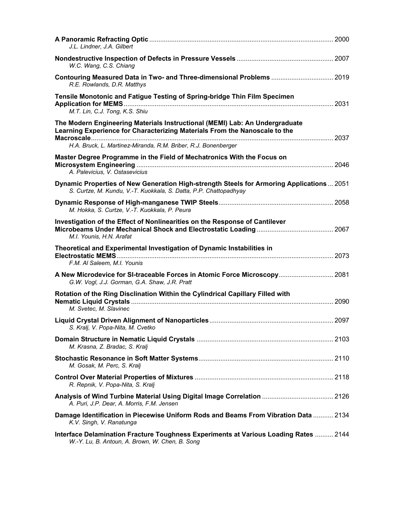| J.L. Lindner, J.A. Gilbert                                                                                                                                                                                                  |  |
|-----------------------------------------------------------------------------------------------------------------------------------------------------------------------------------------------------------------------------|--|
| W.C. Wang, C.S. Chiang                                                                                                                                                                                                      |  |
| Contouring Measured Data in Two- and Three-dimensional Problems  2019<br>R.E. Rowlands, D.R. Matthys                                                                                                                        |  |
| Tensile Monotonic and Fatigue Testing of Spring-bridge Thin Film Specimen<br>M.T. Lin, C.J. Tong, K.S. Shiu                                                                                                                 |  |
| The Modern Engineering Materials Instructional (MEMI) Lab: An Undergraduate<br>Learning Experience for Characterizing Materials From the Nanoscale to the<br>H.A. Bruck, L. Martinez-Miranda, R.M. Briber, R.J. Bonenberger |  |
| Master Degree Programme in the Field of Mechatronics With the Focus on                                                                                                                                                      |  |
| A. Palevicius, V. Ostasevicius                                                                                                                                                                                              |  |
| Dynamic Properties of New Generation High-strength Steels for Armoring Applications  2051<br>S. Curtze, M. Kundu, V.-T. Kuokkala, S. Datta, P.P. Chattopadhyay                                                              |  |
| M. Hokka, S. Curtze, V.-T. Kuokkala, P. Peura                                                                                                                                                                               |  |
| Investigation of the Effect of Nonlinearities on the Response of Cantilever<br>M.I. Younis, H.N. Arafat                                                                                                                     |  |
|                                                                                                                                                                                                                             |  |
| Theoretical and Experimental Investigation of Dynamic Instabilities in                                                                                                                                                      |  |
| F.M. Al Saleem, M.I. Younis<br>A New Microdevice for SI-traceable Forces in Atomic Force Microscopy 2081<br>G.W. Vogl, J.J. Gorman, G.A. Shaw, J.R. Pratt                                                                   |  |
| Rotation of the Ring Disclination Within the Cylindrical Capillary Filled with<br>M. Svetec, M. Slavinec                                                                                                                    |  |
| S. Kralj, V. Popa-Nita, M. Cvetko                                                                                                                                                                                           |  |
| M. Krasna, Z. Bradac, S. Kralj                                                                                                                                                                                              |  |
| M. Gosak, M. Perc, S. Kralj                                                                                                                                                                                                 |  |
| R. Repnik, V. Popa-Nita, S. Kralj                                                                                                                                                                                           |  |
| Analysis of Wind Turbine Material Using Digital Image Correlation  2126<br>A. Puri, J.P. Dear, A. Morris, F.M. Jensen                                                                                                       |  |
| Damage Identification in Piecewise Uniform Rods and Beams From Vibration Data  2134<br>K.V. Singh, V. Ranatunga                                                                                                             |  |